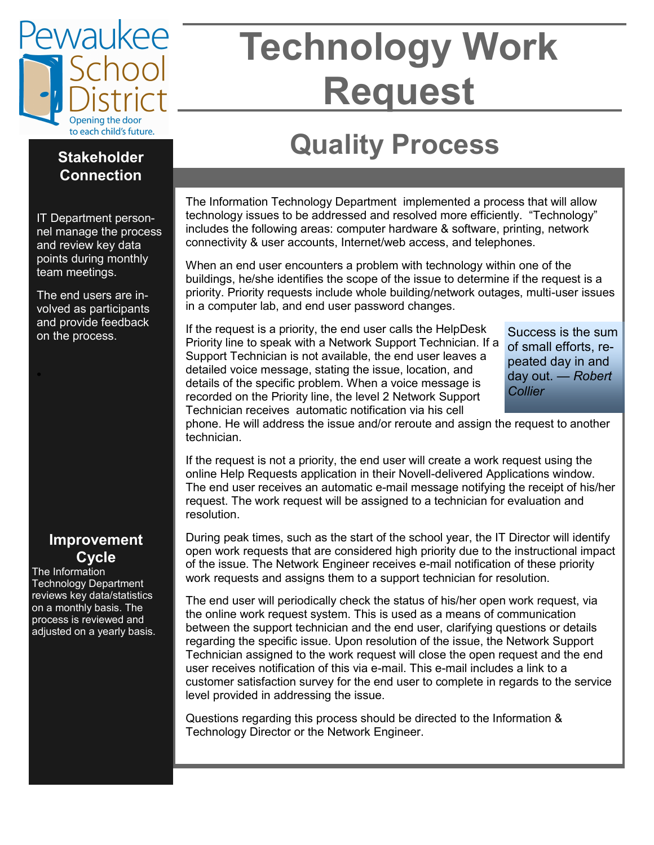

# **Technology Work Request**

## **Quality Process**

#### The Information Technology Department implemented a process that will allow technology issues to be addressed and resolved more efficiently. "Technology" includes the following areas: computer hardware & software, printing, network connectivity & user accounts, Internet/web access, and telephones.

When an end user encounters a problem with technology within one of the buildings, he/she identifies the scope of the issue to determine if the request is a priority. Priority requests include whole building/network outages, multi-user issues in a computer lab, and end user password changes.

and provide recuback If the request is a priority, the end user calls the HelpDesk Success is the sum on the process. Priority line to speak with a Network Support Technician. If a Support Technician is not available, the end user leaves a detailed voice message, stating the issue, location, and details of the specific problem. When a voice message is recorded on the Priority line, the level 2 Network Support Technician receives automatic notification via his cell

of small efforts, repeated day in and day out. *— Robert Collier*

phone. He will address the issue and/or reroute and assign the request to another technician.

If the request is not a priority, the end user will create a work request using the online Help Requests application in their Novell-delivered Applications window. The end user receives an automatic e-mail message notifying the receipt of his/her request. The work request will be assigned to a technician for evaluation and resolution.

During peak times, such as the start of the school year, the IT Director will identify open work requests that are considered high priority due to the instructional impact of the issue. The Network Engineer receives e-mail notification of these priority work requests and assigns them to a support technician for resolution.

The end user will periodically check the status of his/her open work request, via the online work request system. This is used as a means of communication between the support technician and the end user, clarifying questions or details regarding the specific issue. Upon resolution of the issue, the Network Support Technician assigned to the work request will close the open request and the end user receives notification of this via e-mail. This e-mail includes a link to a customer satisfaction survey for the end user to complete in regards to the service level provided in addressing the issue.

Questions regarding this process should be directed to the Information & Technology Director or the Network Engineer.

#### **Stakeholder Connection**

IT Department personnel manage the process and review key data points during monthly team meetings.

The end users are involved as participants and provide feedback

#### **Improvement Cycle**

The Information Technology Department reviews key data/statistics on a monthly basis. The process is reviewed and adjusted on a yearly basis.